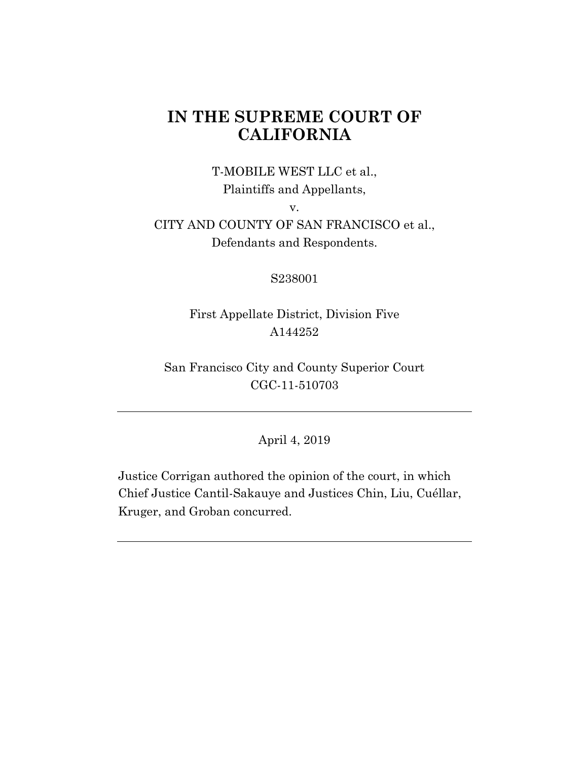# **IN THE SUPREME COURT OF CALIFORNIA**

## T-MOBILE WEST LLC et al., Plaintiffs and Appellants,

v.

## CITY AND COUNTY OF SAN FRANCISCO et al., Defendants and Respondents.

### S238001

## First Appellate District, Division Five A144252

San Francisco City and County Superior Court CGC-11-510703

## April 4, 2019

Justice Corrigan authored the opinion of the court, in which Chief Justice Cantil-Sakauye and Justices Chin, Liu, Cuéllar, Kruger, and Groban concurred.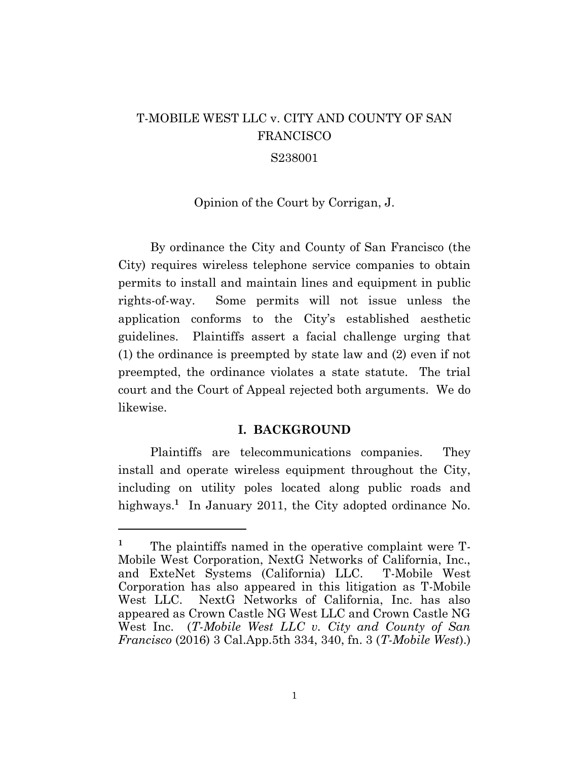# T-MOBILE WEST LLC v. CITY AND COUNTY OF SAN FRANCISCO

### S238001

#### Opinion of the Court by Corrigan, J.

By ordinance the City and County of San Francisco (the City) requires wireless telephone service companies to obtain permits to install and maintain lines and equipment in public rights-of-way. Some permits will not issue unless the application conforms to the City's established aesthetic guidelines. Plaintiffs assert a facial challenge urging that (1) the ordinance is preempted by state law and (2) even if not preempted, the ordinance violates a state statute. The trial court and the Court of Appeal rejected both arguments. We do likewise.

#### **I. BACKGROUND**

Plaintiffs are telecommunications companies. They install and operate wireless equipment throughout the City, including on utility poles located along public roads and highways.<sup>1</sup> In January 2011, the City adopted ordinance No.

l

<sup>&</sup>lt;sup>1</sup> The plaintiffs named in the operative complaint were T-Mobile West Corporation, NextG Networks of California, Inc., and ExteNet Systems (California) LLC. T-Mobile West Corporation has also appeared in this litigation as T-Mobile West LLC. NextG Networks of California, Inc. has also appeared as Crown Castle NG West LLC and Crown Castle NG West Inc. (*T-Mobile West LLC v. City and County of San Francisco* (2016) 3 Cal.App.5th 334, 340, fn. 3 (*T-Mobile West*).)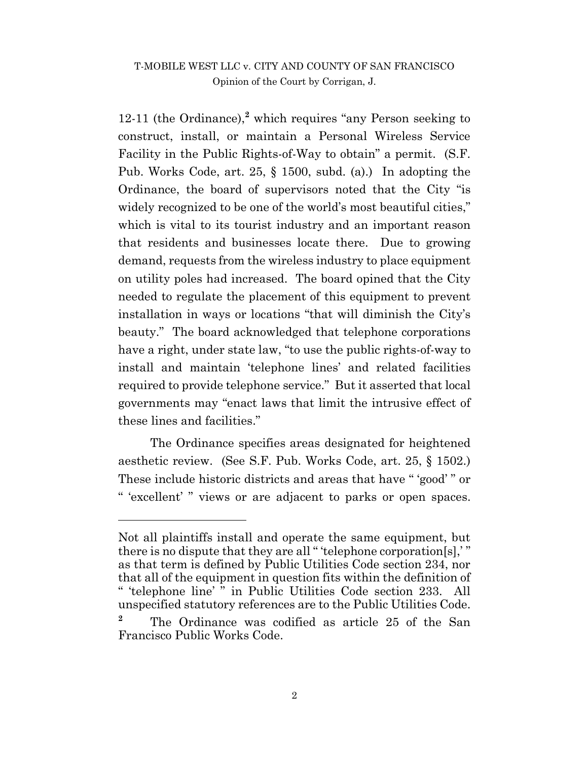12-11 (the Ordinance),**<sup>2</sup>** which requires "any Person seeking to construct, install, or maintain a Personal Wireless Service Facility in the Public Rights-of-Way to obtain" a permit. (S.F. Pub. Works Code, art. 25, § 1500, subd. (a).) In adopting the Ordinance, the board of supervisors noted that the City "is widely recognized to be one of the world's most beautiful cities," which is vital to its tourist industry and an important reason that residents and businesses locate there. Due to growing demand, requests from the wireless industry to place equipment on utility poles had increased. The board opined that the City needed to regulate the placement of this equipment to prevent installation in ways or locations "that will diminish the City's beauty." The board acknowledged that telephone corporations have a right, under state law, "to use the public rights-of-way to install and maintain 'telephone lines' and related facilities required to provide telephone service." But it asserted that local governments may "enact laws that limit the intrusive effect of these lines and facilities."

The Ordinance specifies areas designated for heightened aesthetic review. (See S.F. Pub. Works Code, art. 25, § 1502.) These include historic districts and areas that have " 'good' " or " 'excellent' " views or are adjacent to parks or open spaces.

 $\overline{a}$ 

Not all plaintiffs install and operate the same equipment, but there is no dispute that they are all " 'telephone corporation[s],' " as that term is defined by Public Utilities Code section 234, nor that all of the equipment in question fits within the definition of " 'telephone line' " in Public Utilities Code section 233. All unspecified statutory references are to the Public Utilities Code.

**<sup>2</sup>** The Ordinance was codified as article 25 of the San Francisco Public Works Code.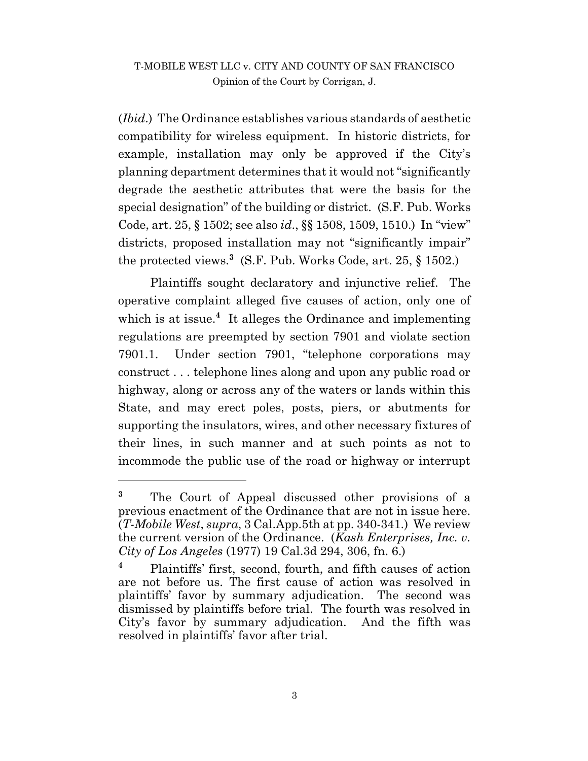(*Ibid*.) The Ordinance establishes various standards of aesthetic compatibility for wireless equipment. In historic districts, for example, installation may only be approved if the City's planning department determines that it would not "significantly degrade the aesthetic attributes that were the basis for the special designation" of the building or district. (S.F. Pub. Works Code, art. 25, § 1502; see also *id*., §§ 1508, 1509, 1510.) In "view" districts, proposed installation may not "significantly impair" the protected views.**<sup>3</sup>** (S.F. Pub. Works Code, art. 25, § 1502.)

Plaintiffs sought declaratory and injunctive relief. The operative complaint alleged five causes of action, only one of which is at issue.<sup>4</sup> It alleges the Ordinance and implementing regulations are preempted by section 7901 and violate section 7901.1. Under section 7901, "telephone corporations may construct . . . telephone lines along and upon any public road or highway, along or across any of the waters or lands within this State, and may erect poles, posts, piers, or abutments for supporting the insulators, wires, and other necessary fixtures of their lines, in such manner and at such points as not to incommode the public use of the road or highway or interrupt

**<sup>3</sup>** The Court of Appeal discussed other provisions of a previous enactment of the Ordinance that are not in issue here. (*T-Mobile West*, *supra*, 3 Cal.App.5th at pp. 340-341.) We review the current version of the Ordinance. (*Kash Enterprises, Inc. v. City of Los Angeles* (1977) 19 Cal.3d 294, 306, fn. 6.)

**<sup>4</sup>** Plaintiffs' first, second, fourth, and fifth causes of action are not before us. The first cause of action was resolved in plaintiffs' favor by summary adjudication. The second was dismissed by plaintiffs before trial. The fourth was resolved in City's favor by summary adjudication. And the fifth was resolved in plaintiffs' favor after trial.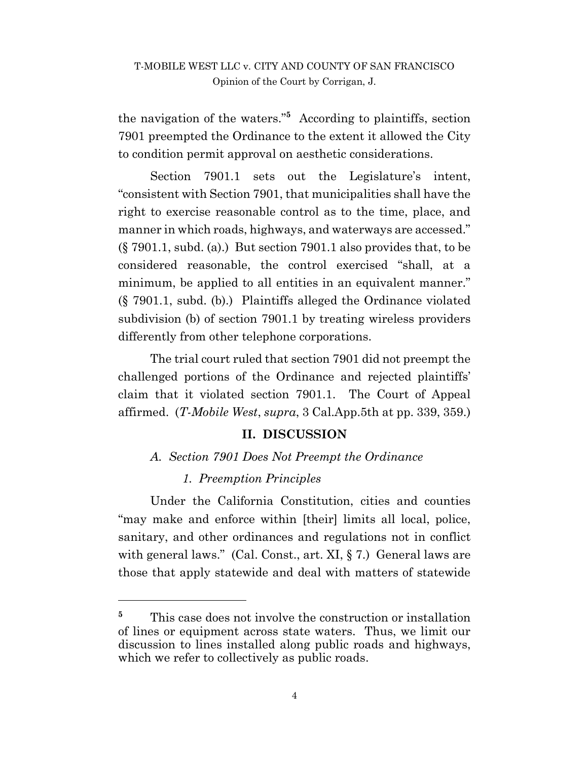the navigation of the waters."**<sup>5</sup>** According to plaintiffs, section 7901 preempted the Ordinance to the extent it allowed the City to condition permit approval on aesthetic considerations.

Section 7901.1 sets out the Legislature's intent, "consistent with Section 7901, that municipalities shall have the right to exercise reasonable control as to the time, place, and manner in which roads, highways, and waterways are accessed." (§ 7901.1, subd. (a).) But section 7901.1 also provides that, to be considered reasonable, the control exercised "shall, at a minimum, be applied to all entities in an equivalent manner." (§ 7901.1, subd. (b).) Plaintiffs alleged the Ordinance violated subdivision (b) of section 7901.1 by treating wireless providers differently from other telephone corporations.

The trial court ruled that section 7901 did not preempt the challenged portions of the Ordinance and rejected plaintiffs' claim that it violated section 7901.1. The Court of Appeal affirmed. (*T-Mobile West*, *supra*, 3 Cal.App.5th at pp. 339, 359.)

#### **II. DISCUSSION**

#### *A. Section 7901 Does Not Preempt the Ordinance*

#### *1. Preemption Principles*

l

Under the California Constitution, cities and counties "may make and enforce within [their] limits all local, police, sanitary, and other ordinances and regulations not in conflict with general laws." (Cal. Const., art. XI, § 7.) General laws are those that apply statewide and deal with matters of statewide

<sup>&</sup>lt;sup>5</sup> This case does not involve the construction or installation of lines or equipment across state waters. Thus, we limit our discussion to lines installed along public roads and highways, which we refer to collectively as public roads.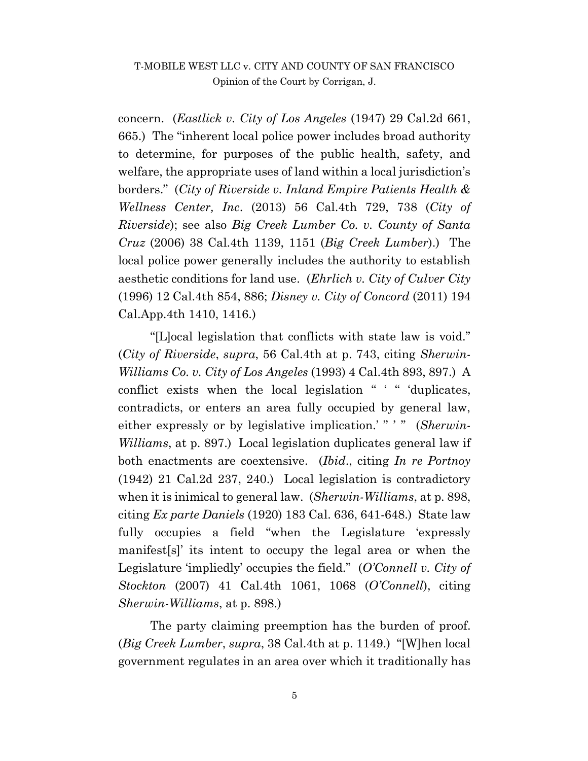concern. (*Eastlick v. City of Los Angeles* (1947) 29 Cal.2d 661, 665.) The "inherent local police power includes broad authority to determine, for purposes of the public health, safety, and welfare, the appropriate uses of land within a local jurisdiction's borders." (*City of Riverside v. Inland Empire Patients Health & Wellness Center, Inc*. (2013) 56 Cal.4th 729, 738 (*City of Riverside*); see also *Big Creek Lumber Co. v. County of Santa Cruz* (2006) 38 Cal.4th 1139, 1151 (*Big Creek Lumber*).) The local police power generally includes the authority to establish aesthetic conditions for land use. (*Ehrlich v. City of Culver City* (1996) 12 Cal.4th 854, 886; *Disney v. City of Concord* (2011) 194 Cal.App.4th 1410, 1416.)

"[L]ocal legislation that conflicts with state law is void." (*City of Riverside*, *supra*, 56 Cal.4th at p. 743, citing *Sherwin-Williams Co. v. City of Los Angeles* (1993) 4 Cal.4th 893, 897.) A conflict exists when the local legislation " ' " 'duplicates, contradicts, or enters an area fully occupied by general law, either expressly or by legislative implication.'" " (*Sherwin-Williams*, at p. 897.) Local legislation duplicates general law if both enactments are coextensive. (*Ibid*., citing *In re Portnoy* (1942) 21 Cal.2d 237, 240.) Local legislation is contradictory when it is inimical to general law. (*Sherwin-Williams*, at p. 898, citing *Ex parte Daniels* (1920) 183 Cal. 636, 641-648.) State law fully occupies a field "when the Legislature 'expressly manifest[s]' its intent to occupy the legal area or when the Legislature 'impliedly' occupies the field." (*O'Connell v. City of Stockton* (2007) 41 Cal.4th 1061, 1068 (*O'Connell*), citing *Sherwin-Williams*, at p. 898.)

The party claiming preemption has the burden of proof. (*Big Creek Lumber*, *supra*, 38 Cal.4th at p. 1149.) "[W]hen local government regulates in an area over which it traditionally has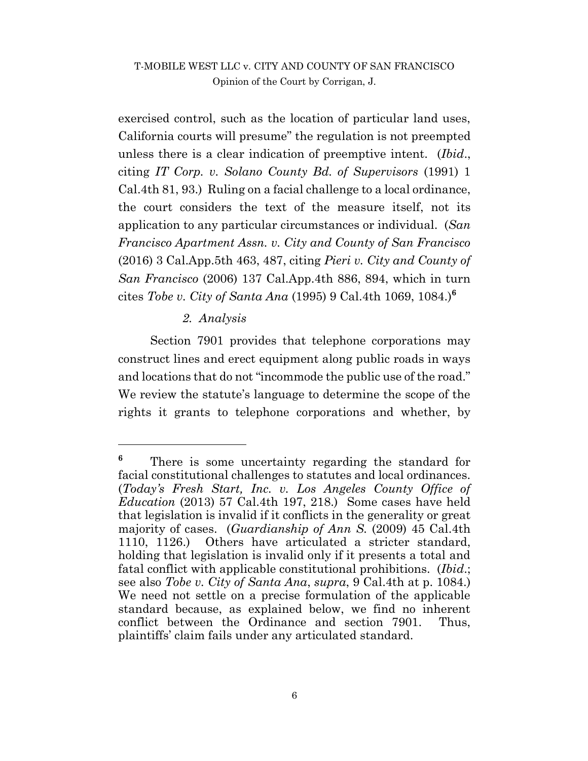exercised control, such as the location of particular land uses, California courts will presume" the regulation is not preempted unless there is a clear indication of preemptive intent. (*Ibid*., citing *IT Corp. v. Solano County Bd. of Supervisors* (1991) 1 Cal.4th 81, 93.) Ruling on a facial challenge to a local ordinance, the court considers the text of the measure itself, not its application to any particular circumstances or individual. (*San Francisco Apartment Assn. v. City and County of San Francisco* (2016) 3 Cal.App.5th 463, 487, citing *Pieri v. City and County of San Francisco* (2006) 137 Cal.App.4th 886, 894, which in turn cites *Tobe v. City of Santa Ana* (1995) 9 Cal.4th 1069, 1084.)**<sup>6</sup>**

#### *2. Analysis*

 $\overline{a}$ 

Section 7901 provides that telephone corporations may construct lines and erect equipment along public roads in ways and locations that do not "incommode the public use of the road." We review the statute's language to determine the scope of the rights it grants to telephone corporations and whether, by

<sup>&</sup>lt;sup>6</sup> There is some uncertainty regarding the standard for facial constitutional challenges to statutes and local ordinances. (*Today's Fresh Start, Inc. v. Los Angeles County Office of Education* (2013) 57 Cal.4th 197, 218.) Some cases have held that legislation is invalid if it conflicts in the generality or great majority of cases. (*Guardianship of Ann S.* (2009) 45 Cal.4th 1110, 1126.) Others have articulated a stricter standard, holding that legislation is invalid only if it presents a total and fatal conflict with applicable constitutional prohibitions. (*Ibid*.; see also *Tobe v. City of Santa Ana*, *supra*, 9 Cal.4th at p. 1084.) We need not settle on a precise formulation of the applicable standard because, as explained below, we find no inherent conflict between the Ordinance and section 7901. Thus, plaintiffs' claim fails under any articulated standard.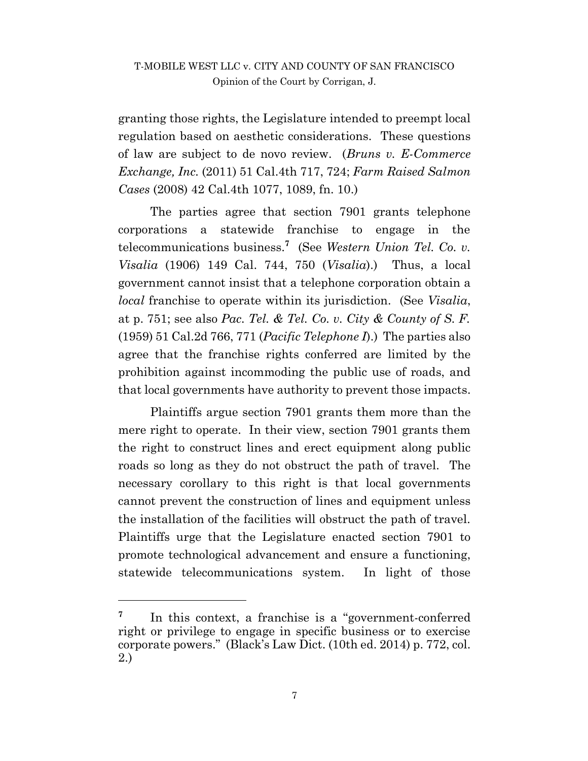granting those rights, the Legislature intended to preempt local regulation based on aesthetic considerations. These questions of law are subject to de novo review. (*Bruns v. E-Commerce Exchange, Inc.* (2011) 51 Cal.4th 717, 724; *Farm Raised Salmon Cases* (2008) 42 Cal.4th 1077, 1089, fn. 10.)

The parties agree that section 7901 grants telephone corporations a statewide franchise to engage in the telecommunications business.**<sup>7</sup>** (See *Western Union Tel. Co. v. Visalia* (1906) 149 Cal. 744, 750 (*Visalia*).) Thus, a local government cannot insist that a telephone corporation obtain a *local* franchise to operate within its jurisdiction. (See *Visalia*, at p. 751; see also *Pac. Tel. & Tel. Co. v. City & County of S. F.* (1959) 51 Cal.2d 766, 771 (*Pacific Telephone I*).) The parties also agree that the franchise rights conferred are limited by the prohibition against incommoding the public use of roads, and that local governments have authority to prevent those impacts.

Plaintiffs argue section 7901 grants them more than the mere right to operate. In their view, section 7901 grants them the right to construct lines and erect equipment along public roads so long as they do not obstruct the path of travel. The necessary corollary to this right is that local governments cannot prevent the construction of lines and equipment unless the installation of the facilities will obstruct the path of travel. Plaintiffs urge that the Legislature enacted section 7901 to promote technological advancement and ensure a functioning, statewide telecommunications system. In light of those

l

**<sup>7</sup>** In this context, a franchise is a "government-conferred right or privilege to engage in specific business or to exercise corporate powers." (Black's Law Dict. (10th ed. 2014) p. 772, col. 2.)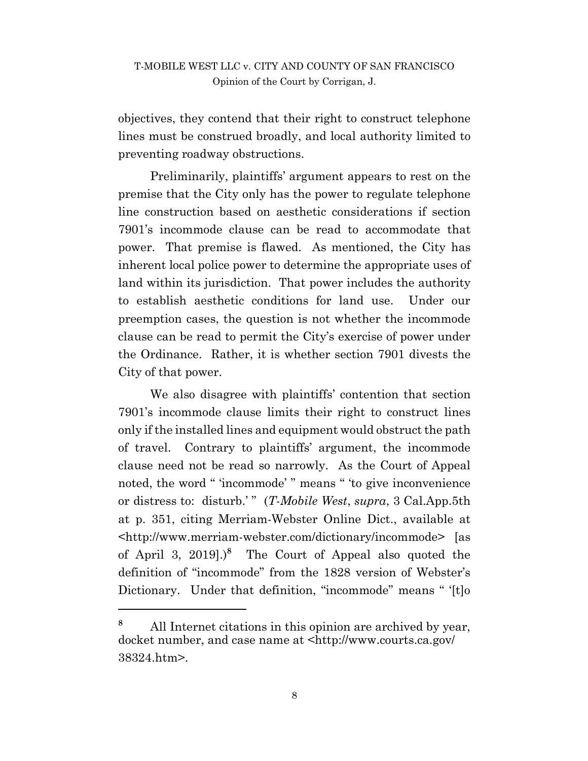objectives, they contend that their right to construct telephone lines must be construed broadly, and local authority limited to preventing roadway obstructions.

Preliminarily, plaintiffs' argument appears to rest on the premise that the City only has the power to regulate telephone line construction based on aesthetic considerations if section 7901's incommode clause can be read to accommodate that power. That premise is flawed. As mentioned, the City has inherent local police power to determine the appropriate uses of land within its jurisdiction. That power includes the authority to establish aesthetic conditions for land use. Under our preemption cases, the question is not whether the incommode clause can be read to permit the City's exercise of power under the Ordinance. Rather, it is whether section 7901 divests the City of that power.

We also disagree with plaintiffs' contention that section 7901's incommode clause limits their right to construct lines only if the installed lines and equipment would obstruct the path of travel. Contrary to plaintiffs' argument, the incommode clause need not be read so narrowly. As the Court of Appeal noted, the word " 'incommode' " means " 'to give inconvenience or distress to: disturb.' " (*T-Mobile West*, *supra*, 3 Cal.App.5th at p. 351, citing Merriam-Webster Online Dict., available at <http://www.merriam-webster.com/dictionary/incommode> [as of April 3, 2019].) **8** The Court of Appeal also quoted the definition of "incommode" from the 1828 version of Webster's Dictionary. Under that definition, "incommode" means " '[t]o

 $\overline{a}$ 

**<sup>8</sup>** All Internet citations in this opinion are archived by year, docket number, and case name at <http://www.courts.ca.gov/ 38324.htm>.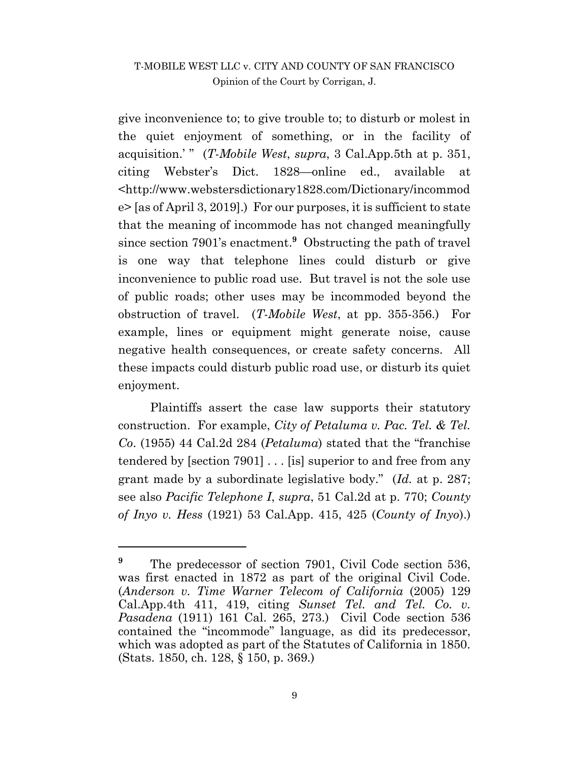give inconvenience to; to give trouble to; to disturb or molest in the quiet enjoyment of something, or in the facility of acquisition.' " (*T-Mobile West*, *supra*, 3 Cal.App.5th at p. 351, citing Webster's Dict. 1828—online ed., available at <http://www.webstersdictionary1828.com/Dictionary/incommod e> [as of April 3, 2019].) For our purposes, it is sufficient to state that the meaning of incommode has not changed meaningfully since section 7901's enactment.**<sup>9</sup>** Obstructing the path of travel is one way that telephone lines could disturb or give inconvenience to public road use. But travel is not the sole use of public roads; other uses may be incommoded beyond the obstruction of travel. (*T-Mobile West*, at pp. 355-356.) For example, lines or equipment might generate noise, cause negative health consequences, or create safety concerns. All these impacts could disturb public road use, or disturb its quiet enjoyment.

Plaintiffs assert the case law supports their statutory construction. For example, *City of Petaluma v. Pac. Tel. & Tel. Co*. (1955) 44 Cal.2d 284 (*Petaluma*) stated that the "franchise tendered by [section 7901] . . . [is] superior to and free from any grant made by a subordinate legislative body." (*Id.* at p. 287; see also *Pacific Telephone I*, *supra*, 51 Cal.2d at p. 770; *County of Inyo v. Hess* (1921) 53 Cal.App. 415, 425 (*County of Inyo*).)

 $\overline{a}$ 

<sup>&</sup>lt;sup>9</sup> The predecessor of section 7901, Civil Code section 536, was first enacted in 1872 as part of the original Civil Code. (*Anderson v. Time Warner Telecom of California* (2005) 129 Cal.App.4th 411, 419, citing *Sunset Tel. and Tel. Co. v. Pasadena* (1911) 161 Cal. 265, 273.) Civil Code section 536 contained the "incommode" language, as did its predecessor, which was adopted as part of the Statutes of California in 1850. (Stats. 1850, ch. 128, § 150, p. 369.)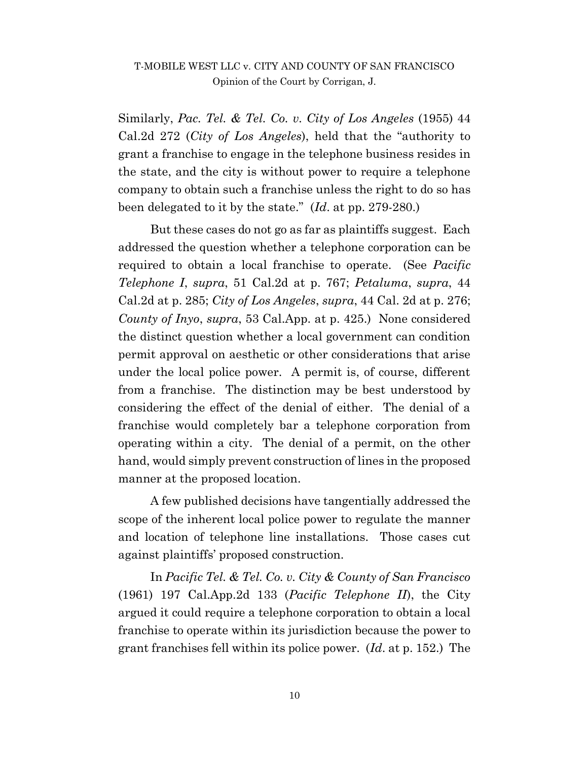Similarly, *Pac. Tel. & Tel. Co. v. City of Los Angeles* (1955) 44 Cal.2d 272 (*City of Los Angeles*), held that the "authority to grant a franchise to engage in the telephone business resides in the state, and the city is without power to require a telephone company to obtain such a franchise unless the right to do so has been delegated to it by the state." (*Id*. at pp. 279-280.)

But these cases do not go as far as plaintiffs suggest. Each addressed the question whether a telephone corporation can be required to obtain a local franchise to operate. (See *Pacific Telephone I*, *supra*, 51 Cal.2d at p. 767; *Petaluma*, *supra*, 44 Cal.2d at p. 285; *City of Los Angeles*, *supra*, 44 Cal. 2d at p. 276; *County of Inyo*, *supra*, 53 Cal.App. at p. 425.) None considered the distinct question whether a local government can condition permit approval on aesthetic or other considerations that arise under the local police power. A permit is, of course, different from a franchise. The distinction may be best understood by considering the effect of the denial of either. The denial of a franchise would completely bar a telephone corporation from operating within a city. The denial of a permit, on the other hand, would simply prevent construction of lines in the proposed manner at the proposed location.

A few published decisions have tangentially addressed the scope of the inherent local police power to regulate the manner and location of telephone line installations. Those cases cut against plaintiffs' proposed construction.

In *Pacific Tel. & Tel. Co. v. City & County of San Francisco* (1961) 197 Cal.App.2d 133 (*Pacific Telephone II*), the City argued it could require a telephone corporation to obtain a local franchise to operate within its jurisdiction because the power to grant franchises fell within its police power. (*Id*. at p. 152.) The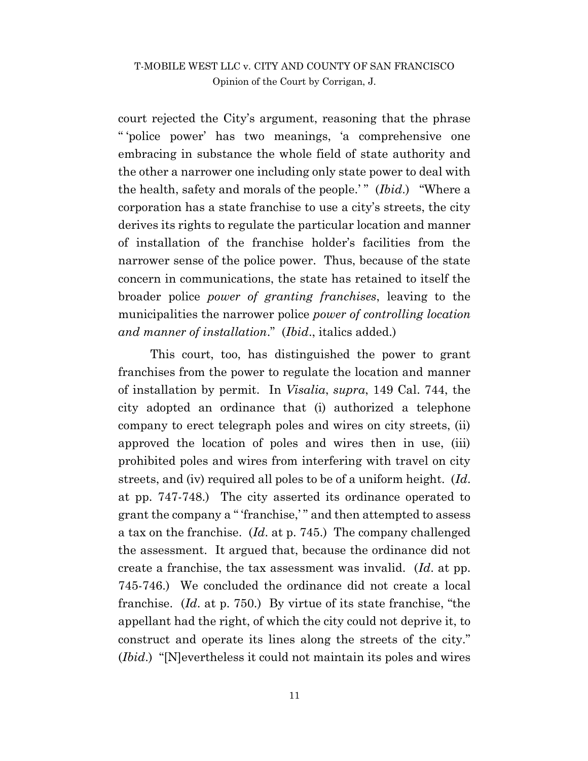court rejected the City's argument, reasoning that the phrase " 'police power' has two meanings, 'a comprehensive one embracing in substance the whole field of state authority and the other a narrower one including only state power to deal with the health, safety and morals of the people.'" (*Ibid*.) "Where a corporation has a state franchise to use a city's streets, the city derives its rights to regulate the particular location and manner of installation of the franchise holder's facilities from the narrower sense of the police power. Thus, because of the state concern in communications, the state has retained to itself the broader police *power of granting franchises*, leaving to the municipalities the narrower police *power of controlling location and manner of installation*." (*Ibid*., italics added.)

This court, too, has distinguished the power to grant franchises from the power to regulate the location and manner of installation by permit. In *Visalia*, *supra*, 149 Cal. 744, the city adopted an ordinance that (i) authorized a telephone company to erect telegraph poles and wires on city streets, (ii) approved the location of poles and wires then in use, (iii) prohibited poles and wires from interfering with travel on city streets, and (iv) required all poles to be of a uniform height. (*Id*. at pp. 747-748.) The city asserted its ordinance operated to grant the company a " 'franchise,' " and then attempted to assess a tax on the franchise. (*Id*. at p. 745.) The company challenged the assessment. It argued that, because the ordinance did not create a franchise, the tax assessment was invalid. (*Id*. at pp. 745-746.) We concluded the ordinance did not create a local franchise. (*Id*. at p. 750.) By virtue of its state franchise, "the appellant had the right, of which the city could not deprive it, to construct and operate its lines along the streets of the city." (*Ibid*.) "[N]evertheless it could not maintain its poles and wires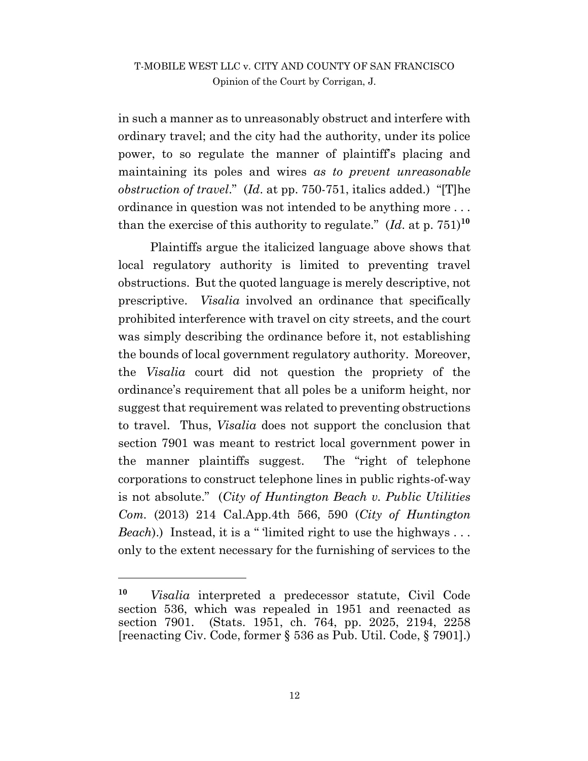in such a manner as to unreasonably obstruct and interfere with ordinary travel; and the city had the authority, under its police power, to so regulate the manner of plaintiff's placing and maintaining its poles and wires *as to prevent unreasonable obstruction of travel*." (*Id*. at pp. 750-751, italics added.) "[T]he ordinance in question was not intended to be anything more . . . than the exercise of this authority to regulate."  $(Id. 3t^{10}$ 

Plaintiffs argue the italicized language above shows that local regulatory authority is limited to preventing travel obstructions. But the quoted language is merely descriptive, not prescriptive. *Visalia* involved an ordinance that specifically prohibited interference with travel on city streets, and the court was simply describing the ordinance before it, not establishing the bounds of local government regulatory authority. Moreover, the *Visalia* court did not question the propriety of the ordinance's requirement that all poles be a uniform height, nor suggest that requirement was related to preventing obstructions to travel. Thus, *Visalia* does not support the conclusion that section 7901 was meant to restrict local government power in the manner plaintiffs suggest. The "right of telephone corporations to construct telephone lines in public rights-of-way is not absolute." (*City of Huntington Beach v. Public Utilities Com.* (2013) 214 Cal.App.4th 566, 590 (*City of Huntington Beach*).) Instead, it is a "limited right to use the highways ... only to the extent necessary for the furnishing of services to the

**<sup>10</sup>** *Visalia* interpreted a predecessor statute, Civil Code section 536, which was repealed in 1951 and reenacted as section 7901. (Stats. 1951, ch. 764, pp. 2025, 2194, 2258 [reenacting Civ. Code, former § 536 as Pub. Util. Code, § 7901].)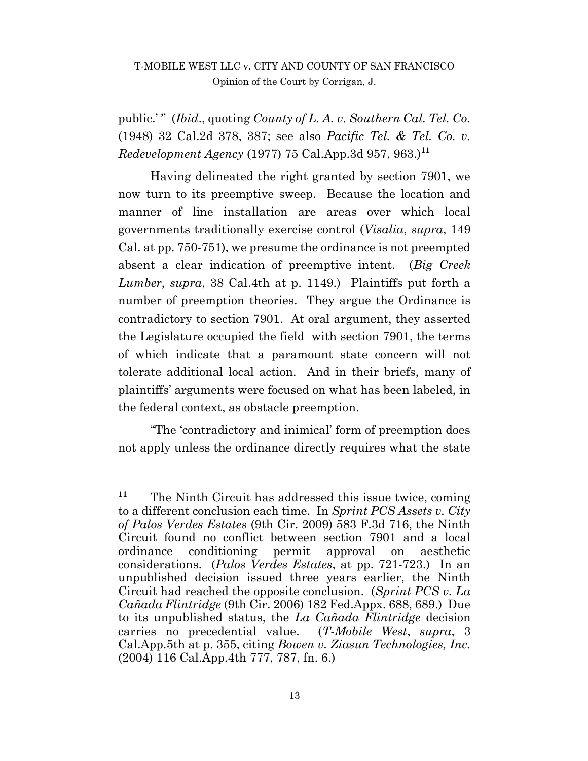public.' " (*Ibid*., quoting *County of L. A. v. Southern Cal. Tel. Co.* (1948) 32 Cal.2d 378, 387; see also *Pacific Tel. & Tel. Co. v. Redevelopment Agency* (1977) 75 Cal.App.3d 957, 963.)**<sup>11</sup>**

Having delineated the right granted by section 7901, we now turn to its preemptive sweep. Because the location and manner of line installation are areas over which local governments traditionally exercise control (*Visalia*, *supra*, 149 Cal. at pp. 750-751), we presume the ordinance is not preempted absent a clear indication of preemptive intent. (*Big Creek Lumber*, *supra*, 38 Cal.4th at p. 1149.) Plaintiffs put forth a number of preemption theories. They argue the Ordinance is contradictory to section 7901. At oral argument, they asserted the Legislature occupied the field with section 7901, the terms of which indicate that a paramount state concern will not tolerate additional local action. And in their briefs, many of plaintiffs' arguments were focused on what has been labeled, in the federal context, as obstacle preemption.

"The 'contradictory and inimical' form of preemption does not apply unless the ordinance directly requires what the state

**<sup>11</sup>** The Ninth Circuit has addressed this issue twice, coming to a different conclusion each time. In *Sprint PCS Assets v. City of Palos Verdes Estates* (9th Cir. 2009) 583 F.3d 716, the Ninth Circuit found no conflict between section 7901 and a local ordinance conditioning permit approval on aesthetic considerations. (*Palos Verdes Estates*, at pp. 721-723.) In an unpublished decision issued three years earlier, the Ninth Circuit had reached the opposite conclusion. (*Sprint PCS v. La Cañada Flintridge* (9th Cir. 2006) 182 Fed.Appx. 688, 689.) Due to its unpublished status, the *La Cañada Flintridge* decision carries no precedential value. (*T-Mobile West*, *supra*, 3 Cal.App.5th at p. 355, citing *Bowen v. Ziasun Technologies, Inc.* (2004) 116 Cal.App.4th 777, 787, fn. 6.)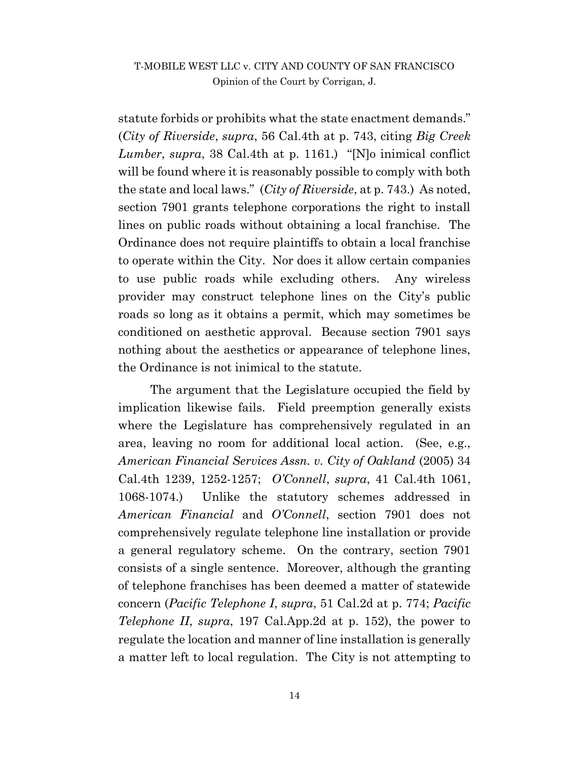statute forbids or prohibits what the state enactment demands." (*City of Riverside*, *supra*, 56 Cal.4th at p. 743, citing *Big Creek Lumber*, *supra*, 38 Cal.4th at p. 1161.) "[N]o inimical conflict will be found where it is reasonably possible to comply with both the state and local laws." (*City of Riverside*, at p. 743.) As noted, section 7901 grants telephone corporations the right to install lines on public roads without obtaining a local franchise. The Ordinance does not require plaintiffs to obtain a local franchise to operate within the City. Nor does it allow certain companies to use public roads while excluding others. Any wireless provider may construct telephone lines on the City's public roads so long as it obtains a permit, which may sometimes be conditioned on aesthetic approval. Because section 7901 says nothing about the aesthetics or appearance of telephone lines, the Ordinance is not inimical to the statute.

The argument that the Legislature occupied the field by implication likewise fails. Field preemption generally exists where the Legislature has comprehensively regulated in an area, leaving no room for additional local action. (See, e.g., *American Financial Services Assn. v. City of Oakland* (2005) 34 Cal.4th 1239, 1252-1257; *O'Connell*, *supra*, 41 Cal.4th 1061, 1068-1074.) Unlike the statutory schemes addressed in *American Financial* and *O'Connell*, section 7901 does not comprehensively regulate telephone line installation or provide a general regulatory scheme. On the contrary, section 7901 consists of a single sentence. Moreover, although the granting of telephone franchises has been deemed a matter of statewide concern (*Pacific Telephone I*, *supra*, 51 Cal.2d at p. 774; *Pacific Telephone II*, *supra*, 197 Cal.App.2d at p. 152), the power to regulate the location and manner of line installation is generally a matter left to local regulation. The City is not attempting to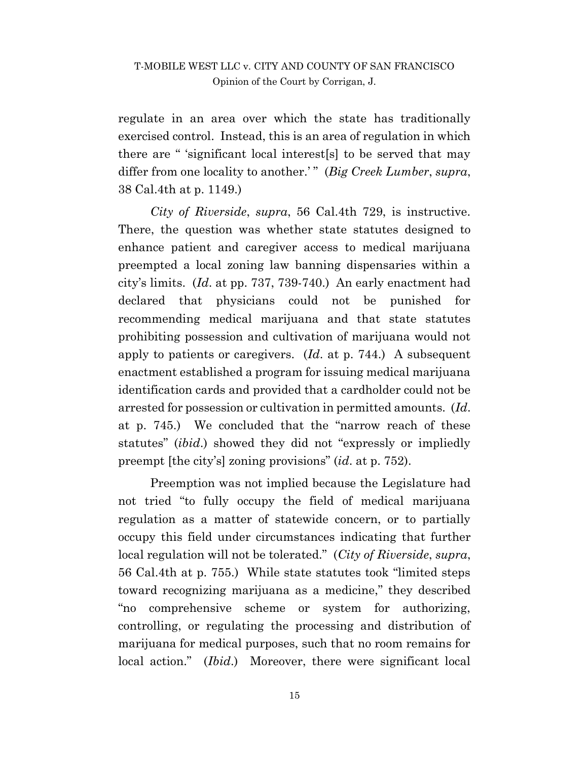regulate in an area over which the state has traditionally exercised control. Instead, this is an area of regulation in which there are " 'significant local interest[s] to be served that may differ from one locality to another.'" (*Big Creek Lumber*, *supra*, 38 Cal.4th at p. 1149.)

*City of Riverside*, *supra*, 56 Cal.4th 729, is instructive. There, the question was whether state statutes designed to enhance patient and caregiver access to medical marijuana preempted a local zoning law banning dispensaries within a city's limits. (*Id*. at pp. 737, 739-740.) An early enactment had declared that physicians could not be punished for recommending medical marijuana and that state statutes prohibiting possession and cultivation of marijuana would not apply to patients or caregivers. (*Id*. at p. 744.) A subsequent enactment established a program for issuing medical marijuana identification cards and provided that a cardholder could not be arrested for possession or cultivation in permitted amounts. (*Id*. at p. 745.) We concluded that the "narrow reach of these statutes" (*ibid*.) showed they did not "expressly or impliedly preempt [the city's] zoning provisions" (*id*. at p. 752).

Preemption was not implied because the Legislature had not tried "to fully occupy the field of medical marijuana regulation as a matter of statewide concern, or to partially occupy this field under circumstances indicating that further local regulation will not be tolerated." (*City of Riverside*, *supra*, 56 Cal.4th at p. 755.) While state statutes took "limited steps toward recognizing marijuana as a medicine," they described "no comprehensive scheme or system for authorizing, controlling, or regulating the processing and distribution of marijuana for medical purposes, such that no room remains for local action." (*Ibid*.) Moreover, there were significant local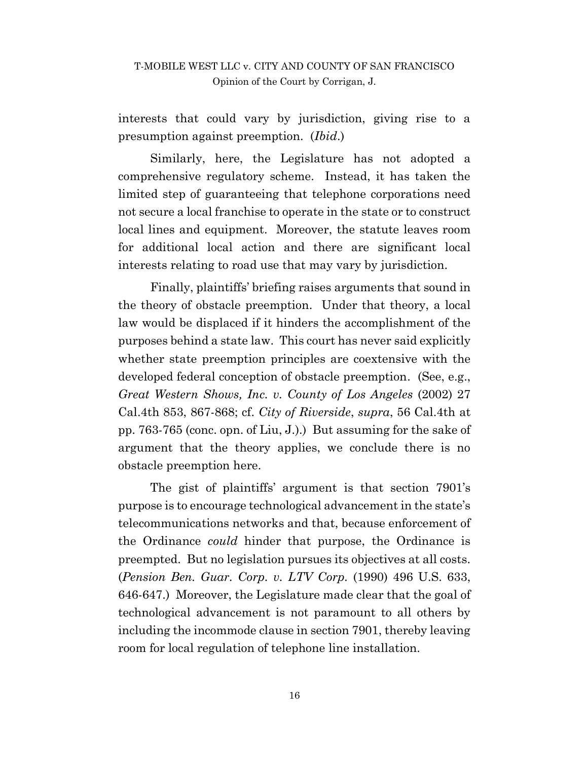interests that could vary by jurisdiction, giving rise to a presumption against preemption. (*Ibid*.)

Similarly, here, the Legislature has not adopted a comprehensive regulatory scheme. Instead, it has taken the limited step of guaranteeing that telephone corporations need not secure a local franchise to operate in the state or to construct local lines and equipment. Moreover, the statute leaves room for additional local action and there are significant local interests relating to road use that may vary by jurisdiction.

Finally, plaintiffs' briefing raises arguments that sound in the theory of obstacle preemption. Under that theory, a local law would be displaced if it hinders the accomplishment of the purposes behind a state law. This court has never said explicitly whether state preemption principles are coextensive with the developed federal conception of obstacle preemption. (See, e.g., *Great Western Shows, Inc. v. County of Los Angeles* (2002) 27 Cal.4th 853, 867-868; cf. *City of Riverside*, *supra*, 56 Cal.4th at pp. 763-765 (conc. opn. of Liu, J.).) But assuming for the sake of argument that the theory applies, we conclude there is no obstacle preemption here.

The gist of plaintiffs' argument is that section 7901's purpose is to encourage technological advancement in the state's telecommunications networks and that, because enforcement of the Ordinance *could* hinder that purpose, the Ordinance is preempted. But no legislation pursues its objectives at all costs. (*Pension Ben. Guar. Corp. v. LTV Corp.* (1990) 496 U.S. 633, 646-647.) Moreover, the Legislature made clear that the goal of technological advancement is not paramount to all others by including the incommode clause in section 7901, thereby leaving room for local regulation of telephone line installation.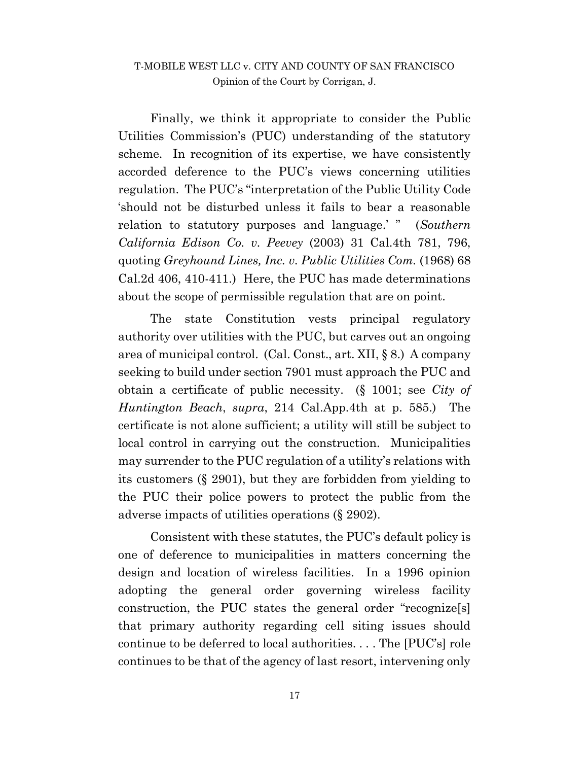Finally, we think it appropriate to consider the Public Utilities Commission's (PUC) understanding of the statutory scheme. In recognition of its expertise, we have consistently accorded deference to the PUC's views concerning utilities regulation. The PUC's "interpretation of the Public Utility Code 'should not be disturbed unless it fails to bear a reasonable relation to statutory purposes and language.' " (*Southern California Edison Co. v. Peevey* (2003) 31 Cal.4th 781, 796, quoting *Greyhound Lines, Inc. v. Public Utilities Com.* (1968) 68 Cal.2d 406, 410-411.) Here, the PUC has made determinations about the scope of permissible regulation that are on point.

The state Constitution vests principal regulatory authority over utilities with the PUC, but carves out an ongoing area of municipal control. (Cal. Const., art. XII, § 8.) A company seeking to build under section 7901 must approach the PUC and obtain a certificate of public necessity. (§ 1001; see *City of Huntington Beach*, *supra*, 214 Cal.App.4th at p. 585.) The certificate is not alone sufficient; a utility will still be subject to local control in carrying out the construction. Municipalities may surrender to the PUC regulation of a utility's relations with its customers (§ 2901), but they are forbidden from yielding to the PUC their police powers to protect the public from the adverse impacts of utilities operations (§ 2902).

Consistent with these statutes, the PUC's default policy is one of deference to municipalities in matters concerning the design and location of wireless facilities. In a 1996 opinion adopting the general order governing wireless facility construction, the PUC states the general order "recognize[s] that primary authority regarding cell siting issues should continue to be deferred to local authorities. . . . The [PUC's] role continues to be that of the agency of last resort, intervening only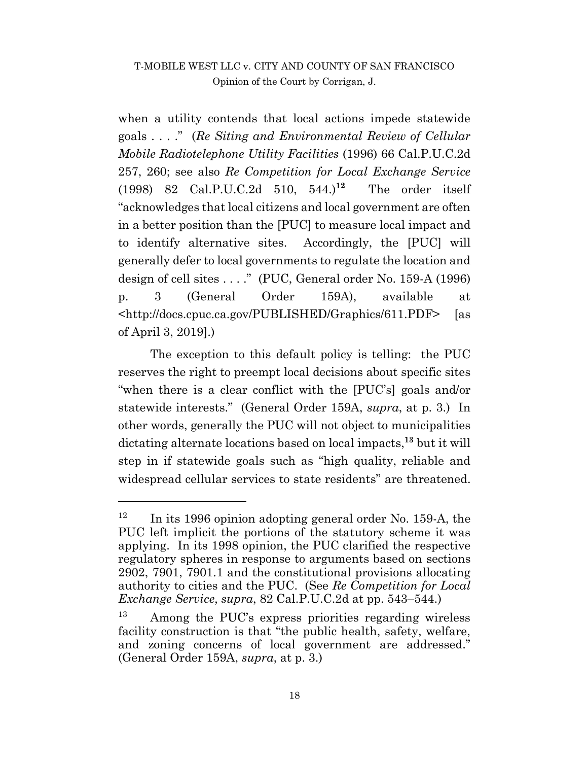when a utility contends that local actions impede statewide goals . . . ." (*Re Siting and Environmental Review of Cellular Mobile Radiotelephone Utility Facilities* (1996) 66 Cal.P.U.C.2d 257, 260; see also *Re Competition for Local Exchange Service* (1998) 82 Cal.P.U.C.2d 510, 544.)**<sup>12</sup>** The order itself "acknowledges that local citizens and local government are often in a better position than the [PUC] to measure local impact and to identify alternative sites. Accordingly, the [PUC] will generally defer to local governments to regulate the location and design of cell sites . . . ." (PUC, General order No. 159-A (1996) p. 3 (General Order 159A), available at <http://docs.cpuc.ca.gov/PUBLISHED/Graphics/611.PDF> [as of April 3, 2019].)

The exception to this default policy is telling: the PUC reserves the right to preempt local decisions about specific sites "when there is a clear conflict with the [PUC's] goals and/or statewide interests." (General Order 159A, *supra*, at p. 3.) In other words, generally the PUC will not object to municipalities dictating alternate locations based on local impacts, **<sup>13</sup>** but it will step in if statewide goals such as "high quality, reliable and widespread cellular services to state residents" are threatened.

 $\overline{a}$ 

<sup>&</sup>lt;sup>12</sup> In its 1996 opinion adopting general order No. 159-A, the PUC left implicit the portions of the statutory scheme it was applying. In its 1998 opinion, the PUC clarified the respective regulatory spheres in response to arguments based on sections 2902, 7901, 7901.1 and the constitutional provisions allocating authority to cities and the PUC. (See *Re Competition for Local Exchange Service*, *supra*, 82 Cal.P.U.C.2d at pp. 543–544.)

<sup>13</sup> Among the PUC's express priorities regarding wireless facility construction is that "the public health, safety, welfare, and zoning concerns of local government are addressed." (General Order 159A, *supra*, at p. 3.)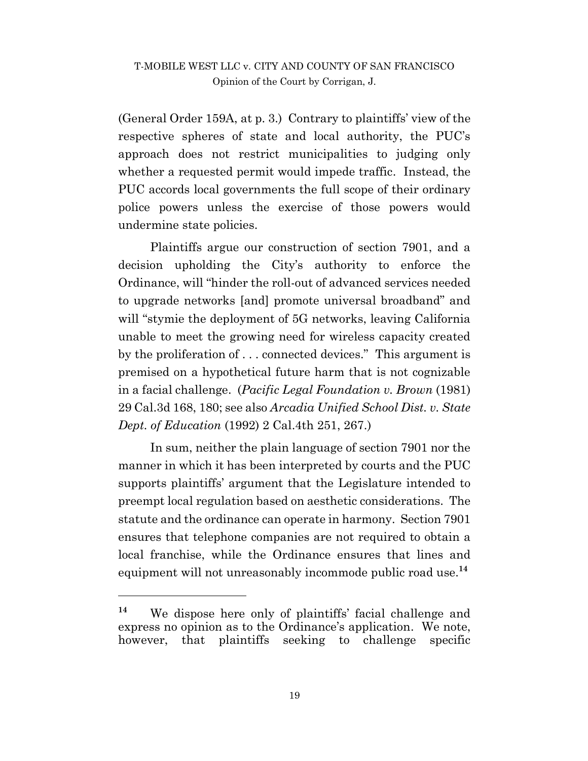(General Order 159A, at p. 3.) Contrary to plaintiffs' view of the respective spheres of state and local authority, the PUC's approach does not restrict municipalities to judging only whether a requested permit would impede traffic. Instead, the PUC accords local governments the full scope of their ordinary police powers unless the exercise of those powers would undermine state policies.

Plaintiffs argue our construction of section 7901, and a decision upholding the City's authority to enforce the Ordinance, will "hinder the roll-out of advanced services needed to upgrade networks [and] promote universal broadband" and will "stymie the deployment of 5G networks, leaving California unable to meet the growing need for wireless capacity created by the proliferation of . . . connected devices." This argument is premised on a hypothetical future harm that is not cognizable in a facial challenge. (*Pacific Legal Foundation v. Brown* (1981) 29 Cal.3d 168, 180; see also *Arcadia Unified School Dist. v. State Dept. of Education* (1992) 2 Cal.4th 251, 267.)

In sum, neither the plain language of section 7901 nor the manner in which it has been interpreted by courts and the PUC supports plaintiffs' argument that the Legislature intended to preempt local regulation based on aesthetic considerations. The statute and the ordinance can operate in harmony. Section 7901 ensures that telephone companies are not required to obtain a local franchise, while the Ordinance ensures that lines and equipment will not unreasonably incommode public road use.**<sup>14</sup>**

 $\overline{a}$ 

**<sup>14</sup>** We dispose here only of plaintiffs' facial challenge and express no opinion as to the Ordinance's application. We note, however, that plaintiffs seeking to challenge specific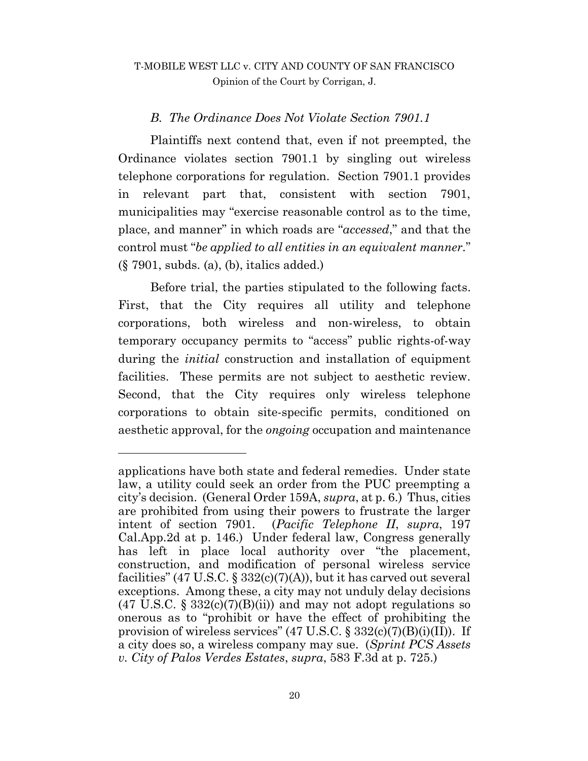#### *B. The Ordinance Does Not Violate Section 7901.1*

Plaintiffs next contend that, even if not preempted, the Ordinance violates section 7901.1 by singling out wireless telephone corporations for regulation. Section 7901.1 provides in relevant part that, consistent with section 7901, municipalities may "exercise reasonable control as to the time, place, and manner" in which roads are "*accessed*," and that the control must "*be applied to all entities in an equivalent manner.*" (§ 7901, subds. (a), (b), italics added.)

Before trial, the parties stipulated to the following facts. First, that the City requires all utility and telephone corporations, both wireless and non-wireless, to obtain temporary occupancy permits to "access" public rights-of-way during the *initial* construction and installation of equipment facilities. These permits are not subject to aesthetic review. Second, that the City requires only wireless telephone corporations to obtain site-specific permits, conditioned on aesthetic approval, for the *ongoing* occupation and maintenance

l

applications have both state and federal remedies. Under state law, a utility could seek an order from the PUC preempting a city's decision. (General Order 159A, *supra*, at p. 6.) Thus, cities are prohibited from using their powers to frustrate the larger intent of section 7901. (*Pacific Telephone II*, *supra*, 197 Cal.App.2d at p. 146.) Under federal law, Congress generally has left in place local authority over "the placement, construction, and modification of personal wireless service facilities" (47 U.S.C. § 332 $(c)(7)(A)$ ), but it has carved out several exceptions. Among these, a city may not unduly delay decisions  $(47 \text{ U.S.C. } \S 332(c)(7)(B)(ii))$  and may not adopt regulations so onerous as to "prohibit or have the effect of prohibiting the provision of wireless services"  $(47 \text{ U.S.C.} \S 332(c)(7)(B)(i)(II))$ . If a city does so, a wireless company may sue. (*Sprint PCS Assets v. City of Palos Verdes Estates*, *supra*, 583 F.3d at p. 725.)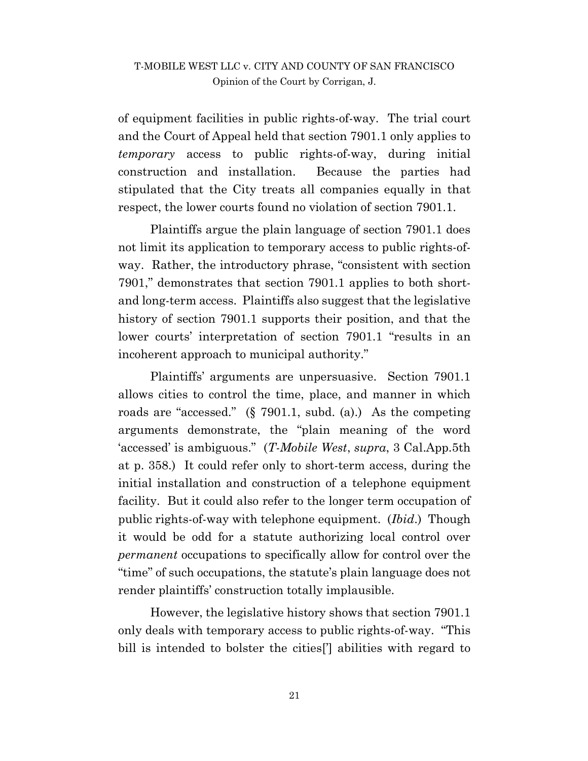of equipment facilities in public rights-of-way. The trial court and the Court of Appeal held that section 7901.1 only applies to *temporary* access to public rights-of-way, during initial construction and installation. Because the parties had stipulated that the City treats all companies equally in that respect, the lower courts found no violation of section 7901.1.

Plaintiffs argue the plain language of section 7901.1 does not limit its application to temporary access to public rights-ofway. Rather, the introductory phrase, "consistent with section 7901," demonstrates that section 7901.1 applies to both shortand long-term access. Plaintiffs also suggest that the legislative history of section 7901.1 supports their position, and that the lower courts' interpretation of section 7901.1 "results in an incoherent approach to municipal authority."

Plaintiffs' arguments are unpersuasive. Section 7901.1 allows cities to control the time, place, and manner in which roads are "accessed." (§ 7901.1, subd. (a).) As the competing arguments demonstrate, the "plain meaning of the word 'accessed' is ambiguous." (*T-Mobile West*, *supra*, 3 Cal.App.5th at p. 358.) It could refer only to short-term access, during the initial installation and construction of a telephone equipment facility. But it could also refer to the longer term occupation of public rights-of-way with telephone equipment. (*Ibid*.) Though it would be odd for a statute authorizing local control over *permanent* occupations to specifically allow for control over the "time" of such occupations, the statute's plain language does not render plaintiffs' construction totally implausible.

However, the legislative history shows that section 7901.1 only deals with temporary access to public rights-of-way. "This bill is intended to bolster the cities['] abilities with regard to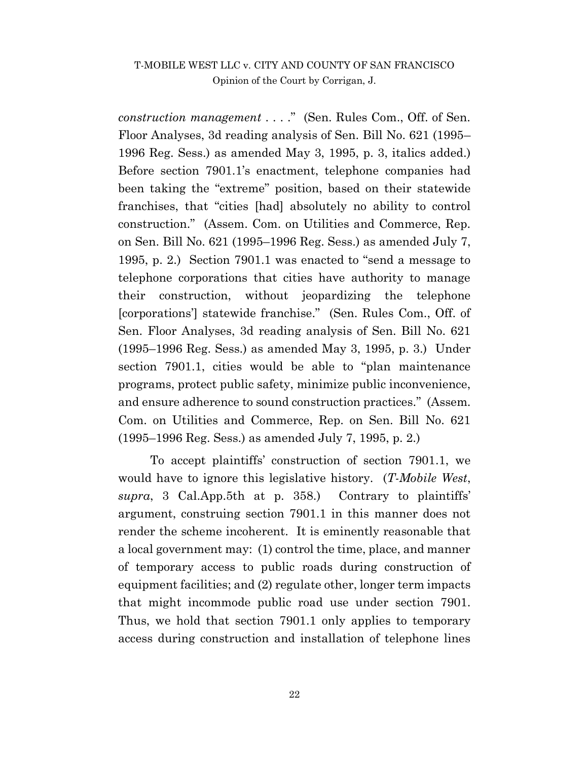*construction management* . . . ." (Sen. Rules Com., Off. of Sen. Floor Analyses, 3d reading analysis of Sen. Bill No. 621 (1995– 1996 Reg. Sess.) as amended May 3, 1995, p. 3, italics added.) Before section 7901.1's enactment, telephone companies had been taking the "extreme" position, based on their statewide franchises, that "cities [had] absolutely no ability to control construction." (Assem. Com. on Utilities and Commerce, Rep. on Sen. Bill No. 621 (1995–1996 Reg. Sess.) as amended July 7, 1995, p. 2.) Section 7901.1 was enacted to "send a message to telephone corporations that cities have authority to manage their construction, without jeopardizing the telephone [corporations'] statewide franchise." (Sen. Rules Com., Off. of Sen. Floor Analyses, 3d reading analysis of Sen. Bill No. 621 (1995–1996 Reg. Sess.) as amended May 3, 1995, p. 3.) Under section 7901.1, cities would be able to "plan maintenance programs, protect public safety, minimize public inconvenience, and ensure adherence to sound construction practices." (Assem. Com. on Utilities and Commerce, Rep. on Sen. Bill No. 621 (1995–1996 Reg. Sess.) as amended July 7, 1995, p. 2.)

To accept plaintiffs' construction of section 7901.1, we would have to ignore this legislative history. (*T-Mobile West*, *supra*, 3 Cal.App.5th at p. 358.) Contrary to plaintiffs' argument, construing section 7901.1 in this manner does not render the scheme incoherent. It is eminently reasonable that a local government may: (1) control the time, place, and manner of temporary access to public roads during construction of equipment facilities; and (2) regulate other, longer term impacts that might incommode public road use under section 7901. Thus, we hold that section 7901.1 only applies to temporary access during construction and installation of telephone lines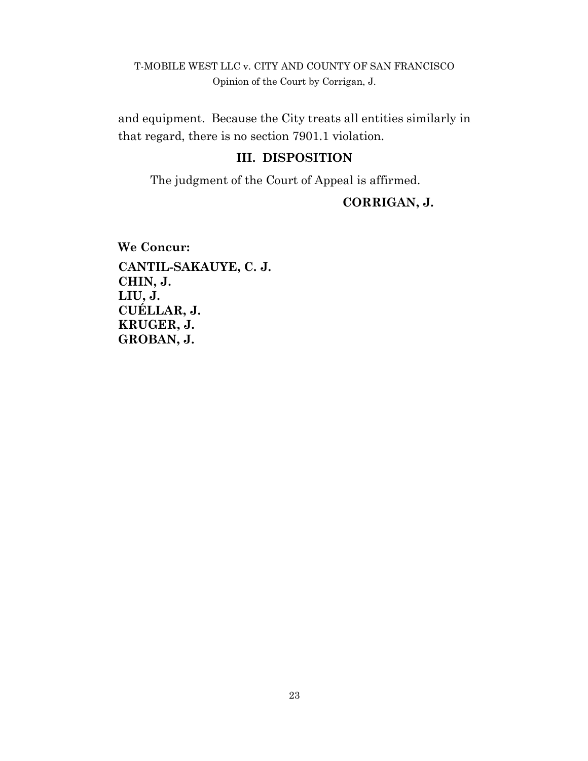and equipment. Because the City treats all entities similarly in that regard, there is no section 7901.1 violation.

#### **III. DISPOSITION**

The judgment of the Court of Appeal is affirmed.

## **CORRIGAN, J.**

**We Concur: CANTIL-SAKAUYE, C. J. CHIN, J. LIU, J. CUÉLLAR, J. KRUGER, J. GROBAN, J.**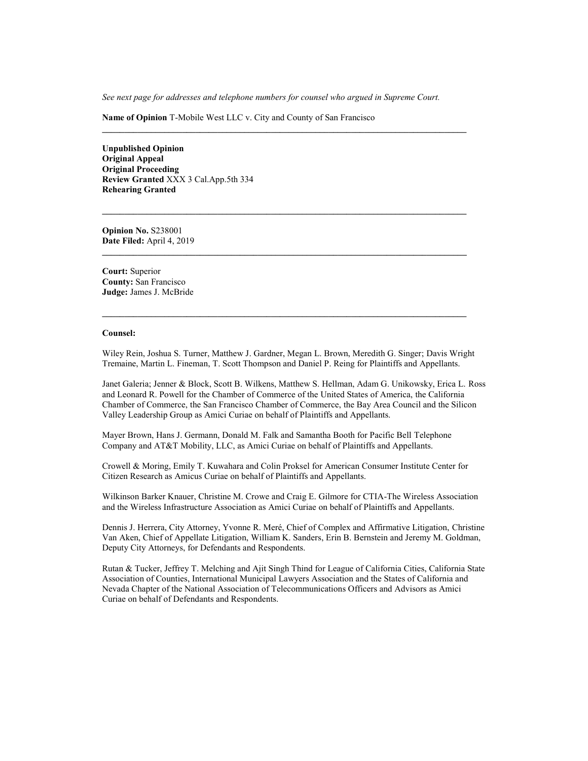*See next page for addresses and telephone numbers for counsel who argued in Supreme Court.*

**Name of Opinion** T-Mobile West LLC v. City and County of San Francisco

**Unpublished Opinion Original Appeal Original Proceeding Review Granted** XXX 3 Cal.App.5th 334 **Rehearing Granted**

**Opinion No.** S238001 **Date Filed:** April 4, 2019

**Court:** Superior **County:** San Francisco **Judge:** James J. McBride

#### **Counsel:**

Wiley Rein, Joshua S. Turner, Matthew J. Gardner, Megan L. Brown, Meredith G. Singer; Davis Wright Tremaine, Martin L. Fineman, T. Scott Thompson and Daniel P. Reing for Plaintiffs and Appellants.

**\_\_\_\_\_\_\_\_\_\_\_\_\_\_\_\_\_\_\_\_\_\_\_\_\_\_\_\_\_\_\_\_\_\_\_\_\_\_\_\_\_\_\_\_\_\_\_\_\_\_\_\_\_\_\_\_\_\_\_\_\_\_\_\_\_\_\_\_\_\_\_\_\_\_\_\_\_\_\_\_\_\_**

Janet Galeria; Jenner & Block, Scott B. Wilkens, Matthew S. Hellman, Adam G. Unikowsky, Erica L. Ross and Leonard R. Powell for the Chamber of Commerce of the United States of America, the California Chamber of Commerce, the San Francisco Chamber of Commerce, the Bay Area Council and the Silicon Valley Leadership Group as Amici Curiae on behalf of Plaintiffs and Appellants.

Mayer Brown, Hans J. Germann, Donald M. Falk and Samantha Booth for Pacific Bell Telephone Company and AT&T Mobility, LLC, as Amici Curiae on behalf of Plaintiffs and Appellants.

Crowell & Moring, Emily T. Kuwahara and Colin Proksel for American Consumer Institute Center for Citizen Research as Amicus Curiae on behalf of Plaintiffs and Appellants.

Wilkinson Barker Knauer, Christine M. Crowe and Craig E. Gilmore for CTIA-The Wireless Association and the Wireless Infrastructure Association as Amici Curiae on behalf of Plaintiffs and Appellants.

Dennis J. Herrera, City Attorney, Yvonne R. Meré, Chief of Complex and Affirmative Litigation, Christine Van Aken, Chief of Appellate Litigation, William K. Sanders, Erin B. Bernstein and Jeremy M. Goldman, Deputy City Attorneys, for Defendants and Respondents.

Rutan & Tucker, Jeffrey T. Melching and Ajit Singh Thind for League of California Cities, California State Association of Counties, International Municipal Lawyers Association and the States of California and Nevada Chapter of the National Association of Telecommunications Officers and Advisors as Amici Curiae on behalf of Defendants and Respondents.